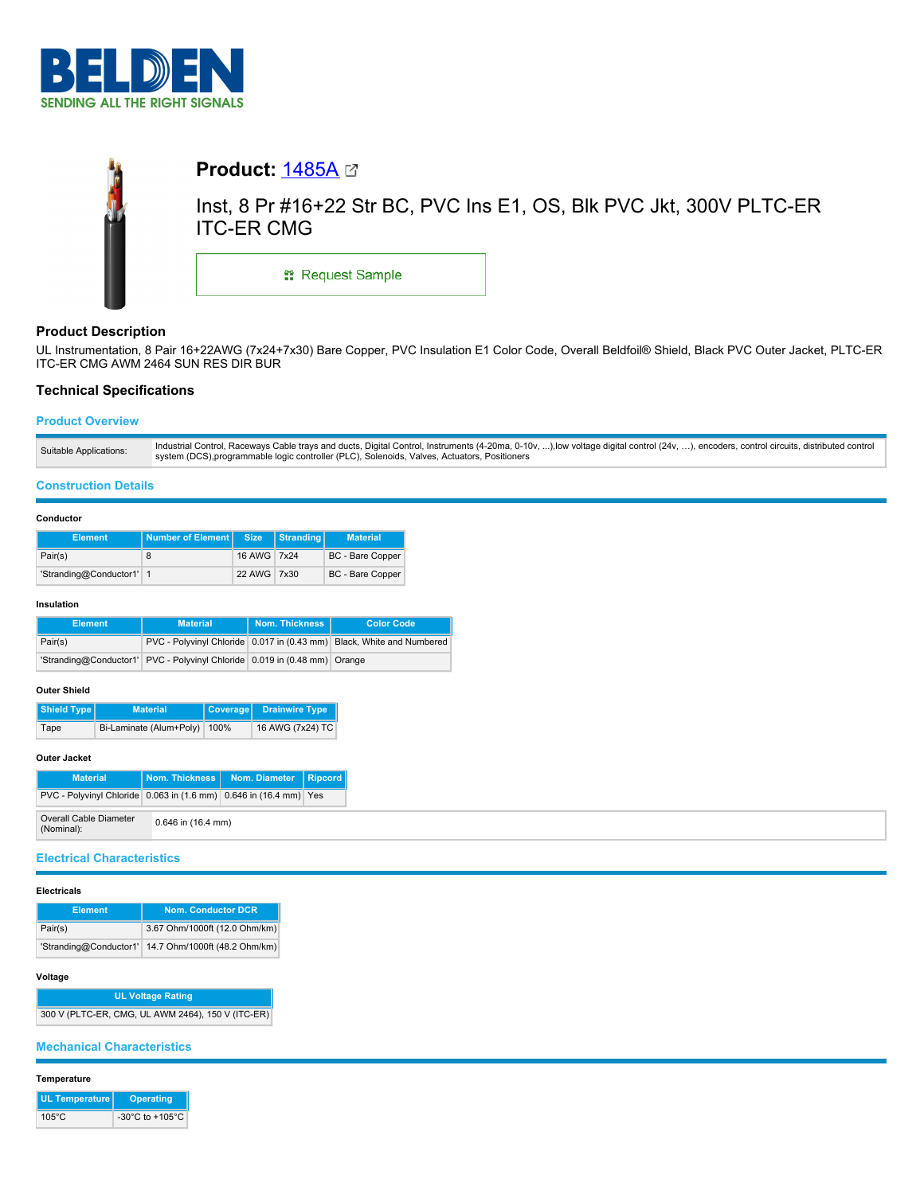



# **Product Description**

UL Instrumentation, 8 Pair 16+22AWG (7x24+7x30) Bare Copper, PVC Insulation E1 Color Code, Overall Beldfoil® Shield, Black PVC Outer Jacket, PLTC-ER ITC-ER CMG AWM 2464 SUN RES DIR BUR

# **Technical Specifications**

# **Product Overview**

| Suitable Applications: | Industrial Control, Raceways Cable trays and ducts, Digital Control, Instruments (4-20ma, 0-10v, ),low voltage digital control (24v, ), encoders, control circuits, distributed control |
|------------------------|-----------------------------------------------------------------------------------------------------------------------------------------------------------------------------------------|
|                        | system (DCS), programmable logic controller (PLC), Solenoids, Valves, Actuators, Positioners                                                                                            |

### **Construction Details**

### **Conductor**

| <b>Element</b>           | Number of Element Size |             | Stranding | <b>Material</b>         |  |
|--------------------------|------------------------|-------------|-----------|-------------------------|--|
| Pair(s)                  |                        | 16 AWG 7x24 |           | <b>BC</b> - Bare Copper |  |
| 'Stranding@Conductor1' 1 |                        | 22 AWG 7x30 |           | <b>BC</b> - Bare Copper |  |

#### **Insulation**

| <b>Element</b> | <b>Material</b>                                                           | Nom. Thickness | <b>Color Code</b>                                                     |  |
|----------------|---------------------------------------------------------------------------|----------------|-----------------------------------------------------------------------|--|
| Pair(s)        |                                                                           |                | PVC - Polyvinyl Chloride 0.017 in (0.43 mm) Black, White and Numbered |  |
|                | 'Stranding@Conductor1' PVC - Polyvinyl Chloride 0.019 in (0.48 mm) Orange |                |                                                                       |  |

### **Outer Shield**

| Shield Type | <b>Material</b>         |      | Coverage Drainwire Type |
|-------------|-------------------------|------|-------------------------|
| Tape        | Bi-Laminate (Alum+Poly) | 100% | 16 AWG (7x24) TC        |

## **Outer Jacket**

| <b>Material</b>                                                   |                        | Nom. Thickness   Nom. Diameter   Ripcord |  |
|-------------------------------------------------------------------|------------------------|------------------------------------------|--|
| PVC - Polyvinyl Chloride 0.063 in (1.6 mm) 0.646 in (16.4 mm) Yes |                        |                                          |  |
| Overall Cable Diameter<br>(Nominal):                              | $0.646$ in $(16.4$ mm) |                                          |  |

### **Electrical Characteristics**

#### **Electricals**

| <b>Element</b>         | <b>Nom. Conductor DCR</b>     |  |  |
|------------------------|-------------------------------|--|--|
| Pair(s)                | 3.67 Ohm/1000ft (12.0 Ohm/km) |  |  |
| 'Stranding@Conductor1' | 14.7 Ohm/1000ft (48.2 Ohm/km) |  |  |

### **Voltage**

**UL Voltage Rating** 300 V (PLTC-ER, CMG, UL AWM 2464), 150 V (ITC-ER)

## **Mechanical Characteristics**

### **Temperature**

| UL Temperature  | <b>Operating</b>                      |
|-----------------|---------------------------------------|
| $105^{\circ}$ C | -30 $^{\circ}$ C to +105 $^{\circ}$ C |